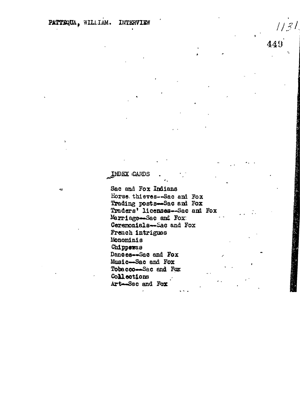-57

## INDEX CARDS

Sac and Fox Indians Horse thieves-Sac and Fox Trading posts-Sac and Fox Traders' licenses-Sac and Fox Marriage-Sac and Fox: Ceremonials-Sac and Fox French intrigues Monominis Chippewas Dances-Sac and Fox Music-Sac and Fox Tobacco-Sac and For Collections Art-Sac and Fox

449

| | 3 |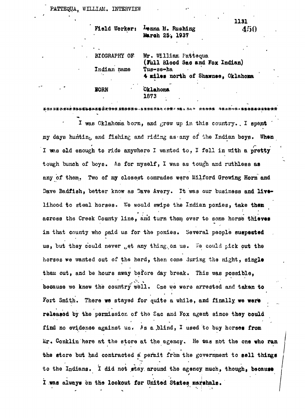| Field Worker: | Lenna M. Rushing<br>450<br>March 25, 1937               |
|---------------|---------------------------------------------------------|
|               |                                                         |
| BIOGRAPHY OF  | Mr. William Pattequa<br>(Full Blood Sac and Fox Indian) |
| Indian name   | Tus-se-ha<br>4 miles north of Shawnee, Oklahoma         |
| <b>E</b> ORN  | <b>Oklahoma</b>                                         |

1873

I was Oklahoma bom, and *grew* up in this country. . I spent my days huntin<sub>k</sub>, and fishing and riding as any of the Indian boys. When I was old enough to ride anywhere I wanted to, I fell in with a pretty tough bunch of boys. As for myself, I was as tough and ruthless as any of them. Two of my closest comrades were Milford Growing Horn and Dave Badfish, better know as Dave Avery. It was our business and livelihood to steal horses. We would swipe the Indian ponies, take them across the Creek County line, and turn them over to some horse thieves in that county who paid us for the ponies. Several people suspected us, but they could never get any thing on us. We could pick out the horses we wanted out of the herd, then come during the night, single them out, and be hours away before day break. This was possible. then: out, and be hours away before day break. This was possible, Fort Smith. There we stayed for quite a while, and finally we were released by the permission of the Sac and Fox agent since they could find no evidence against us. As a blind, I used to buy horses from find no evidence against used to buy horses from the second to buy horses from the second to buy horses from t<br>I used to buy horses from the second to buy horses from the second to buy horses from the second to buy horses Mr. Conkline here at the store at the store at the store at the agency. He was not the ona who range  $\alpha$ the store but had contracted a permit from the government to sell things to sell things the government to sell<br>This sell things the government to sell things the government to sell things the government of things the gove to the Indians  $1$  did not stay, around the agency much, though, becaust  $\alpha$  agency much, becaust  $\alpha$ 

I was always on the lookout for United States marshals.

**1131**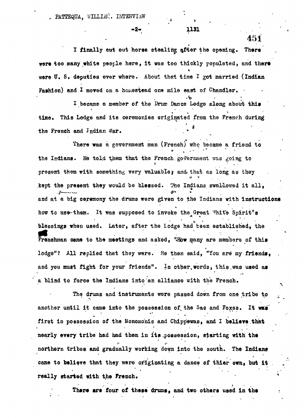PATTEQUA, WILLIAN. INTERVIEW

**I finally out out horse stealing after the opening. There were too many white people here, it was too thickly populated, and tliert were tf. S, deputies ever where. About that time I got married (Indian** Fashion) and I moved on a homestead one mile east of Chandler.

**I became a member of the Drum Dance Lodge along about this** This Lodge and its ceremonies originated from the French during time. time. This Lodge and its ceremonies originated from the French during the French and Indian War.

There was a coronway was (Frought . **\*. The fold them that the French government was going to** present them with something very valuabley and that as long as they kept the present they would be blessed. The Indians swallowed it all. **kept the present the present the present they would be blessed. I** and at a big ceremony the drums were given to the Indians with instructions how to use-them. It was supposed to invoke the Great White Spirit's **blessings when used.** Later, after the lodge had been established, the **blessings Theory Later, and the stablished.** Hen many and manifestic of the **itenchman came** to the me lodge"? All replied that they were. He then said, "You are my friends, and you must fight for your friends". In other words, this was used as a blind to force the Indians into an alliance with the French.

The drums and instruments were passed down from one tribe to another until it came into the possession of the Sac and Foxes. It was first in possession of the Monomonis and Chippewas, and I believe that . t t , **first in possession of the Honomo'nis and Chipp'ewas, and I believe that** northern tribes and gradually working down into the south. The Indians **nearly every tribe had bad them in its .possession, starting with the** came to believe that they were originating a dance of thier own, but it **northern tribes and gradually working down into the south. The Indian\* came to believe that they were originating a dance of thier own, but it .**

**Phere are four of these drums, and two others used in the state of the started with**  $\mathbf{r}$ ,•'•" • • \*

 $\mathbf{F}(\mathbf{r}) = \mathbf{F}(\mathbf{r})$  for the  $\mathbf{F}(\mathbf{r})$  of the  $\mathbf{F}(\mathbf{r})$  and two others used in the  $\mathbf{F}(\mathbf{r})$ 

- 2 - 1131

**451**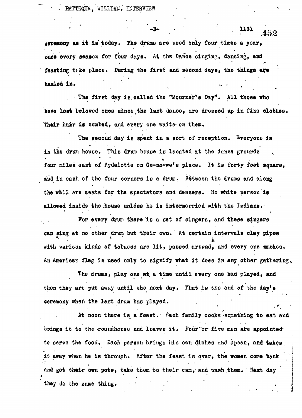RATTEQUA, WILLIAM. INTERVIEW

\* \* •

**• ' - <sup>3</sup>- • ' . " • UJ <sup>i</sup> .452**

**ceremony a\* it is today. The drums are used only four times a year, &&ee every season for four days. At the Dance singing, dancing, and feast lug tfke place. During the first and second days, the things are hauled** later the control of the control of the control of the control of the control of the control of the control of the control of the control of the control of the control of the control of the control of the control

**• The first day is.called the "Mourner's Day". All those who have lost beloved ones since the last dance, are dressed up in fine clothes. Their hair is combed, and every one waits- on then.**

**The second day is spent in a sort of reception. Syeryone is in the drum house. This drum house is located at the dance grounds ^ four miles east of Aydelotte on <5e-no-we\*e place. It is forty feet square, &ad in each of the four corners is a drum\* Between the drums and along the vail are seats for the spectators and dancers. No white pereoa is allowed inside the .house unless he is intermarried with the Indians.-**

**for every drum there is a set of singers, and these singers** can sing at no other drum but their own. At certain intervals clay pipes **with various kinds of tobacco are lit, passed arouad, and every one smokes. An American flag is used only to signify what it does in any other gathering..**

The drums, play one at a time until every one had played, and then they are put away until the next day. That is the end of the day's **ceremony when the. last drum has played.**

**At noon there is a feast.' £ach family COO& B something to eat and** brings it to the roundhouse and leaves it. Four or five men are appointed. **to serve the food. Sach person brings his own dishes and spoon, and takes** it away when he is through. After the feast is over, the women come back and get their own pots, take them to their cam, and wash them. Next day **and get their ow n pots , take the m t o thei r cam,'an d -wash,them. ' \$ejrt da y ]** they do the same thing.